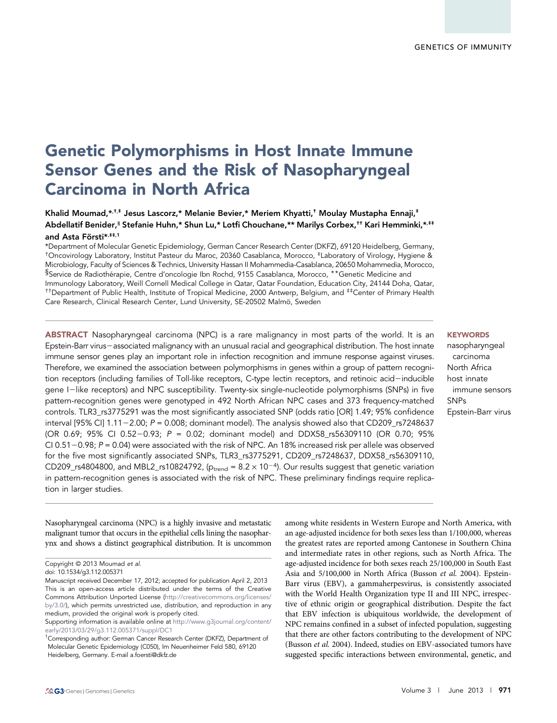# Genetic Polymorphisms in Host Innate Immune Sensor Genes and the Risk of Nasopharyngeal Carcinoma in North Africa

Khalid Moumad, \*, \*, \* Jesus Lascorz, \* Melanie Bevier, \* Meriem Khyatti, \* Moulay Mustapha Ennaji, \* Abdellatif Benider,<sup>§</sup> Stefanie Huhn,\* Shun Lu,\* Lotfi Chouchane,\*\* Marilys Corbex,<sup>††</sup> Kari Hemminki,\*<sup>,‡‡</sup> and Asta Försti\*,<sup>##,1</sup>

\*Department of Molecular Genetic Epidemiology, German Cancer Research Center (DKFZ), 69120 Heidelberg, Germany, †Oncovirology Laboratory, Institut Pasteur du Maroc, 20360 Casablanca, Morocco, ‡Laboratory of Virology, Hygiene & Microbiology, Faculty of Sciences & Technics, University Hassan II Mohammedia-Casablanca, 20650 Mohammedia, Morocco, §Service de Radiothérapie, Centre d'oncologie Ibn Rochd, 9155 Casablanca, Morocco, \*\*Genetic Medicine and Immunology Laboratory, Weill Cornell Medical College in Qatar, Qatar Foundation, Education City, 24144 Doha, Qatar, ††Department of Public Health, Institute of Tropical Medicine, 2000 Antwerp, Belgium, and ‡‡Center of Primary Health Care Research, Clinical Research Center, Lund University, SE-20502 Malmö, Sweden

ABSTRACT Nasopharyngeal carcinoma (NPC) is a rare malignancy in most parts of the world. It is an Epstein-Barr virus-associated malignancy with an unusual racial and geographical distribution. The host innate immune sensor genes play an important role in infection recognition and immune response against viruses. Therefore, we examined the association between polymorphisms in genes within a group of pattern recognition receptors (including families of Toll-like receptors, C-type lectin receptors, and retinoic acid-inducible gene I2like receptors) and NPC susceptibility. Twenty-six single-nucleotide polymorphisms (SNPs) in five pattern-recognition genes were genotyped in 492 North African NPC cases and 373 frequency-matched controls. TLR3\_rs3775291 was the most significantly associated SNP (odds ratio [OR] 1.49; 95% confidence interval [95% CI] 1.11-2.00;  $P = 0.008$ ; dominant model). The analysis showed also that CD209\_rs7248637 (OR 0.69; 95% CI 0.52-0.93;  $P = 0.02$ ; dominant model) and DDX58\_rs56309110 (OR 0.70; 95% CI 0.51 $-0.98$ ;  $P = 0.04$ ) were associated with the risk of NPC. An 18% increased risk per allele was observed for the five most significantly associated SNPs, TLR3\_rs3775291, CD209\_rs7248637, DDX58\_rs56309110, CD209\_rs4804800, and MBL2\_rs10824792, ( $p_{trend} = 8.2 \times 10^{-4}$ ). Our results suggest that genetic variation in pattern-recognition genes is associated with the risk of NPC. These preliminary findings require replication in larger studies.

Nasopharyngeal carcinoma (NPC) is a highly invasive and metastatic malignant tumor that occurs in the epithelial cells lining the nasopharynx and shows a distinct geographical distribution. It is uncommon

# **KEYWORDS**

nasopharyngeal carcinoma North Africa host innate immune sensors SNPs Epstein-Barr virus

among white residents in Western Europe and North America, with an age-adjusted incidence for both sexes less than 1/100,000, whereas the greatest rates are reported among Cantonese in Southern China and intermediate rates in other regions, such as North Africa. The age-adjusted incidence for both sexes reach 25/100,000 in South East Asia and 5/100,000 in North Africa (Busson et al. 2004). Epstein-Barr virus (EBV), a gammaherpesvirus, is consistently associated with the World Health Organization type II and III NPC, irrespective of ethnic origin or geographical distribution. Despite the fact that EBV infection is ubiquitous worldwide, the development of NPC remains confined in a subset of infected population, suggesting that there are other factors contributing to the development of NPC (Busson et al. 2004). Indeed, studies on EBV-associated tumors have suggested specific interactions between environmental, genetic, and

Copyright © 2013 Moumad et al.

doi: 10.1534/g3.112.005371

Manuscript received December 17, 2012; accepted for publication April 2, 2013 This is an open-access article distributed under the terms of the Creative Commons Attribution Unported License ([http://creativecommons.org/licenses/](http://creativecommons.org/licenses/by/3.0/) [by/3.0/](http://creativecommons.org/licenses/by/3.0/)), which permits unrestricted use, distribution, and reproduction in any medium, provided the original work is properly cited.

Supporting information is available online at [http://www.g3journal.org/content/](http://www.g3journal.org/content/early/2013/03/29/g3.112.005371/suppl/DC1) [early/2013/03/29/g3.112.005371/suppl/DC1](http://www.g3journal.org/content/early/2013/03/29/g3.112.005371/suppl/DC1)

<sup>&</sup>lt;sup>1</sup>Corresponding author: German Cancer Research Center (DKFZ), Department of Molecular Genetic Epidemiology (C050), Im Neuenheimer Feld 580, 69120 Heidelberg, Germany. E-mail [a.foersti@dkfz.de](mailto:a.foersti@dkfz.de)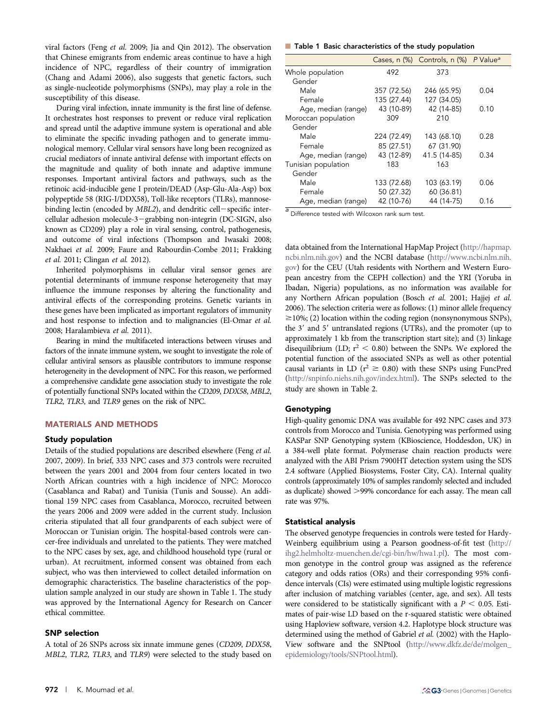viral factors (Feng et al. 2009; Jia and Qin 2012). The observation that Chinese emigrants from endemic areas continue to have a high incidence of NPC, regardless of their country of immigration (Chang and Adami 2006), also suggests that genetic factors, such as single-nucleotide polymorphisms (SNPs), may play a role in the susceptibility of this disease.

During viral infection, innate immunity is the first line of defense. It orchestrates host responses to prevent or reduce viral replication and spread until the adaptive immune system is operational and able to eliminate the specific invading pathogen and to generate immunological memory. Cellular viral sensors have long been recognized as crucial mediators of innate antiviral defense with important effects on the magnitude and quality of both innate and adaptive immune responses. Important antiviral factors and pathways, such as the retinoic acid-inducible gene I protein/DEAD (Asp-Glu-Ala-Asp) box polypeptide 58 (RIG-I/DDX58), Toll-like receptors (TLRs), mannosebinding lectin (encoded by  $MBL2$ ), and dendritic cell-specific intercellular adhesion molecule- $3$ -grabbing non-integrin (DC-SIGN, also known as CD209) play a role in viral sensing, control, pathogenesis, and outcome of viral infections (Thompson and Iwasaki 2008; Nakhaei et al. 2009; Faure and Rabourdin-Combe 2011; Frakking et al. 2011; Clingan et al. 2012).

Inherited polymorphisms in cellular viral sensor genes are potential determinants of immune response heterogeneity that may influence the immune responses by altering the functionality and antiviral effects of the corresponding proteins. Genetic variants in these genes have been implicated as important regulators of immunity and host response to infection and to malignancies (El-Omar et al. 2008; Haralambieva et al. 2011).

Bearing in mind the multifaceted interactions between viruses and factors of the innate immune system, we sought to investigate the role of cellular antiviral sensors as plausible contributors to immune response heterogeneity in the development of NPC. For this reason, we performed a comprehensive candidate gene association study to investigate the role of potentially functional SNPs located within the CD209, DDX58, MBL2, TLR2, TLR3, and TLR9 genes on the risk of NPC.

## MATERIALS AND METHODS

## Study population

Details of the studied populations are described elsewhere (Feng et al. 2007, 2009). In brief, 333 NPC cases and 373 controls were recruited between the years 2001 and 2004 from four centers located in two North African countries with a high incidence of NPC: Morocco (Casablanca and Rabat) and Tunisia (Tunis and Sousse). An additional 159 NPC cases from Casablanca, Morocco, recruited between the years 2006 and 2009 were added in the current study. Inclusion criteria stipulated that all four grandparents of each subject were of Moroccan or Tunisian origin. The hospital-based controls were cancer-free individuals and unrelated to the patients. They were matched to the NPC cases by sex, age, and childhood household type (rural or urban). At recruitment, informed consent was obtained from each subject, who was then interviewed to collect detailed information on demographic characteristics. The baseline characteristics of the population sample analyzed in our study are shown in Table 1. The study was approved by the International Agency for Research on Cancer ethical committee.

## SNP selection

A total of 26 SNPs across six innate immune genes (CD209, DDX58, MBL2, TLR2, TLR3, and TLR9) were selected to the study based on

# ■ Table 1 Basic characteristics of the study population

|                     |             | Cases, n (%) Controls, n (%) P Value <sup>a</sup> |      |
|---------------------|-------------|---------------------------------------------------|------|
| Whole population    | 492         | 373                                               |      |
| Gender              |             |                                                   |      |
| Male                | 357 (72.56) | 246 (65.95)                                       | 0.04 |
| Female              | 135 (27.44) | 127 (34.05)                                       |      |
| Age, median (range) | 43 (10-89)  | 42 (14-85)                                        | 0.10 |
| Moroccan population | 309         | 210                                               |      |
| Gender              |             |                                                   |      |
| Male                | 224 (72.49) | 143 (68.10)                                       | 0.28 |
| Female              | 85 (27.51)  | 67 (31.90)                                        |      |
| Age, median (range) | 43 (12-89)  | 41.5 (14-85)                                      | 0.34 |
| Tunisian population | 183         | 163                                               |      |
| Gender              |             |                                                   |      |
| Male                | 133 (72.68) | 103 (63.19)                                       | 0.06 |
| Female              | 50 (27.32)  | 60 (36.81)                                        |      |
| Age, median (range) | 42 (10-76)  | 44 (14-75)                                        | 0.16 |

 $\frac{a}{a}$  Difference tested with Wilcoxon rank sum test.

data obtained from the International HapMap Project ([http://hapmap.](http://hapmap.ncbi.nlm.nih.gov) [ncbi.nlm.nih.gov\)](http://hapmap.ncbi.nlm.nih.gov) and the NCBI database [\(http://www.ncbi.nlm.nih.](http://www.ncbi.nlm.nih.gov) [gov](http://www.ncbi.nlm.nih.gov)) for the CEU (Utah residents with Northern and Western European ancestry from the CEPH collection) and the YRI (Yoruba in Ibadan, Nigeria) populations, as no information was available for any Northern African population (Bosch et al. 2001; Hajjej et al. 2006). The selection criteria were as follows: (1) minor allele frequency  $\geq$ 10%; (2) location within the coding region (nonsynonymous SNPs), the 3' and 5' untranslated regions (UTRs), and the promoter (up to approximately 1 kb from the transcription start site); and (3) linkage disequilibrium (LD;  $r^2$  < 0.80) between the SNPs. We explored the potential function of the associated SNPs as well as other potential causal variants in LD ( $r^2 \ge 0.80$ ) with these SNPs using FuncPred [\(http://snpinfo.niehs.nih.gov/index.html\)](http://snpinfo.niehs.nih.gov/index.html). The SNPs selected to the study are shown in Table 2.

# Genotyping

High-quality genomic DNA was available for 492 NPC cases and 373 controls from Morocco and Tunisia. Genotyping was performed using KASPar SNP Genotyping system (KBioscience, Hoddesdon, UK) in a 384-well plate format. Polymerase chain reaction products were analyzed with the ABI Prism 7900HT detection system using the SDS 2.4 software (Applied Biosystems, Foster City, CA). Internal quality controls (approximately 10% of samples randomly selected and included as duplicate) showed >99% concordance for each assay. The mean call rate was 97%.

## Statistical analysis

The observed genotype frequencies in controls were tested for Hardy-Weinberg equilibrium using a Pearson goodness-of-fit test [\(http://](http://ihg2.helmholtz-muenchen.de/cgi-bin/hw/hwa1.pl) [ihg2.helmholtz-muenchen.de/cgi-bin/hw/hwa1.pl\)](http://ihg2.helmholtz-muenchen.de/cgi-bin/hw/hwa1.pl). The most common genotype in the control group was assigned as the reference category and odds ratios (ORs) and their corresponding 95% confidence intervals (CIs) were estimated using multiple logistic regressions after inclusion of matching variables (center, age, and sex). All tests were considered to be statistically significant with a  $P < 0.05$ . Estimates of pair-wise LD based on the r-squared statistic were obtained using Haploview software, version 4.2. Haplotype block structure was determined using the method of Gabriel et al. (2002) with the Haplo-View software and the SNPtool [\(http://www.dkfz.de/de/molgen\\_](http://www.dkfz.de/de/molgen_epidemiology/tools/SNPtool.html) [epidemiology/tools/SNPtool.html\)](http://www.dkfz.de/de/molgen_epidemiology/tools/SNPtool.html).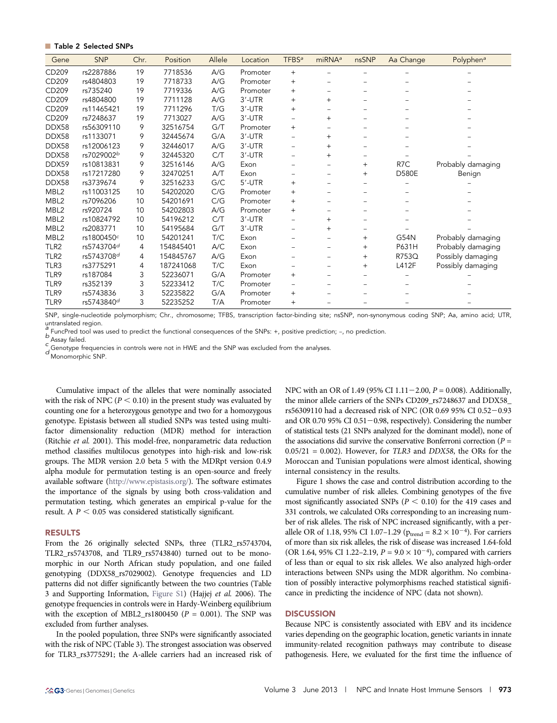# **Table 2 Selected SNPs**

| Gene             | <b>SNP</b> | Chr. | Position  | Allele | Location | TFBS <sup>a</sup> | $m$ iRNA <sup>a</sup> | nsSNP             | Aa Change        | Polyphen <sup>a</sup> |
|------------------|------------|------|-----------|--------|----------|-------------------|-----------------------|-------------------|------------------|-----------------------|
| CD209            | rs2287886  | 19   | 7718536   | A/G    | Promoter | $^{+}$            |                       |                   |                  |                       |
| CD209            | rs4804803  | 19   | 7718733   | A/G    | Promoter | $+$               |                       |                   |                  |                       |
| CD209            | rs735240   | 19   | 7719336   | A/G    | Promoter | $^{+}$            |                       |                   |                  |                       |
| CD209            | rs4804800  | 19   | 7711128   | A/G    | 3'-UTR   | $^{+}$            | $+$                   |                   |                  |                       |
| CD209            | rs11465421 | 19   | 7711296   | T/G    | 3'-UTR   | $+$               |                       |                   |                  |                       |
| CD209            | rs7248637  | 19   | 7713027   | A/G    | 3'-UTR   | -                 | $^{+}$                |                   |                  |                       |
| DDX58            | rs56309110 | 9    | 32516754  | G/T    | Promoter | $^{+}$            |                       |                   |                  |                       |
| DDX58            | rs1133071  | 9    | 32445674  | G/A    | 3'-UTR   |                   | $^{+}$                |                   |                  |                       |
| DDX58            | rs12006123 | 9    | 32446017  | A/G    | 3'-UTR   |                   | $^{+}$                |                   |                  |                       |
| DDX58            | rs7029002b | 9    | 32445320  | C/T    | 3'-UTR   |                   | $^{+}$                |                   |                  |                       |
| DDX59            | rs10813831 | 9    | 32516146  | A/G    | Exon     |                   |                       | $^{+}$            | R <sub>7</sub> C | Probably damaging     |
| DDX58            | rs17217280 | 9    | 32470251  | A/T    | Exon     |                   |                       | $\overline{+}$    | <b>D580E</b>     | Benign                |
| DDX58            | rs3739674  | 9    | 32516233  | G/C    | 5'-UTR   | $^{+}$            |                       | $\qquad \qquad -$ |                  |                       |
| MBL2             | rs11003125 | 10   | 54202020  | C/G    | Promoter | $^{+}$            |                       |                   |                  |                       |
| MBL2             | rs7096206  | 10   | 54201691  | C/G    | Promoter | $^{+}$            |                       |                   |                  |                       |
| MBL2             | rs920724   | 10   | 54202803  | A/G    | Promoter | $^{+}$            |                       |                   |                  |                       |
| MBL <sub>2</sub> | rs10824792 | 10   | 54196212  | C/T    | 3'-UTR   |                   | $^{+}$                |                   |                  |                       |
| MBL <sub>2</sub> | rs2083771  | 10   | 54195684  | G/T    | 3'-UTR   |                   | $^{+}$                |                   |                  |                       |
| MBL <sub>2</sub> | rs1800450c | 10   | 54201241  | T/C    | Exon     |                   |                       | $+$               | G54N             | Probably damaging     |
| TLR <sub>2</sub> | rs5743704d | 4    | 154845401 | A/C    | Exon     |                   |                       | $+$               | P631H            | Probably damaging     |
| TLR2             | rs5743708d | 4    | 154845767 | A/G    | Exon     |                   |                       | $\overline{+}$    | R753Q            | Possibly damaging     |
| TLR3             | rs3775291  | 4    | 187241068 | T/C    | Exon     |                   |                       | $^{+}$            | L412F            | Possibly damaging     |
| TLR9             | rs187084   | 3    | 52236071  | G/A    | Promoter | $\overline{+}$    |                       |                   |                  |                       |
| TLR9             | rs352139   | 3    | 52233412  | T/C    | Promoter | -                 |                       |                   |                  |                       |
| TLR9             | rs5743836  | 3    | 52235822  | G/A    | Promoter | $^{+}$            |                       |                   |                  |                       |
| TLR9             | rs5743840d | 3    | 52235252  | T/A    | Promoter | $^{+}$            |                       |                   |                  |                       |

SNP, single-nucleotide polymorphism; Chr., chromosome; TFBS, transcription factor-binding site; nsSNP, non-synonymous coding SNP; Aa, amino acid; UTR, untranslated region.

FuncPred tool was used to predict the functional consequences of the SNPs: +, positive prediction; -, no prediction.<br>  $\mathcal{L}_{\text{Assay}}$  failed.<br>  $\mathcal{L}_{\text{G}}$  Genotype frequencies in controls were not in HWE and the SNP was

Cumulative impact of the alleles that were nominally associated with the risk of NPC ( $P < 0.10$ ) in the present study was evaluated by counting one for a heterozygous genotype and two for a homozygous genotype. Epistasis between all studied SNPs was tested using multifactor dimensionality reduction (MDR) method for interaction (Ritchie et al. 2001). This model-free, nonparametric data reduction method classifies multilocus genotypes into high-risk and low-risk groups. The MDR version 2.0 beta 5 with the MDRpt version 0.4.9 alpha module for permutation testing is an open-source and freely available software (<http://www.epistasis.org/>). The software estimates the importance of the signals by using both cross-validation and permutation testing, which generates an empirical p-value for the result. A  $P < 0.05$  was considered statistically significant.

#### RESULTS

From the 26 originally selected SNPs, three (TLR2\_rs5743704, TLR2\_rs5743708, and TLR9\_rs5743840) turned out to be monomorphic in our North African study population, and one failed genotyping (DDX58\_rs7029002). Genotype frequencies and LD patterns did not differ significantly between the two countries (Table 3 and Supporting Information, [Figure S1\)](http://www.g3journal.org/lookup/suppl/doi:10.1534/g3.112.005371/-/DC1/FigureS1.pdf) (Hajjej et al. 2006). The genotype frequencies in controls were in Hardy-Weinberg equilibrium with the exception of MBL2\_rs1800450 ( $P = 0.001$ ). The SNP was excluded from further analyses.

In the pooled population, three SNPs were significantly associated with the risk of NPC (Table 3). The strongest association was observed for TLR3\_rs3775291; the A-allele carriers had an increased risk of NPC with an OR of 1.49 (95% CI 1.11 – 2.00,  $P = 0.008$ ). Additionally, the minor allele carriers of the SNPs CD209\_rs7248637 and DDX58\_ rs56309110 had a decreased risk of NPC (OR 0.69 95% CI 0.52-0.93 and OR 0.70 95% CI 0.51 $-$ 0.98, respectively). Considering the number of statistical tests (21 SNPs analyzed for the dominant model), none of the associations did survive the conservative Bonferroni correction ( $P =$  $0.05/21 = 0.002$ ). However, for TLR3 and DDX58, the ORs for the Moroccan and Tunisian populations were almost identical, showing internal consistency in the results.

Figure 1 shows the case and control distribution according to the cumulative number of risk alleles. Combining genotypes of the five most significantly associated SNPs ( $P < 0.10$ ) for the 419 cases and 331 controls, we calculated ORs corresponding to an increasing number of risk alleles. The risk of NPC increased significantly, with a perallele OR of 1.18, 95% CI 1.07-1.29 ( $p_{\text{trend}} = 8.2 \times 10^{-4}$ ). For carriers of more than six risk alleles, the risk of disease was increased 1.64-fold (OR 1.64, 95% CI 1.22-2.19,  $P = 9.0 \times 10^{-4}$ ), compared with carriers of less than or equal to six risk alleles. We also analyzed high-order interactions between SNPs using the MDR algorithm. No combination of possibly interactive polymorphisms reached statistical significance in predicting the incidence of NPC (data not shown).

#### **DISCUSSION**

Because NPC is consistently associated with EBV and its incidence varies depending on the geographic location, genetic variants in innate immunity-related recognition pathways may contribute to disease pathogenesis. Here, we evaluated for the first time the influence of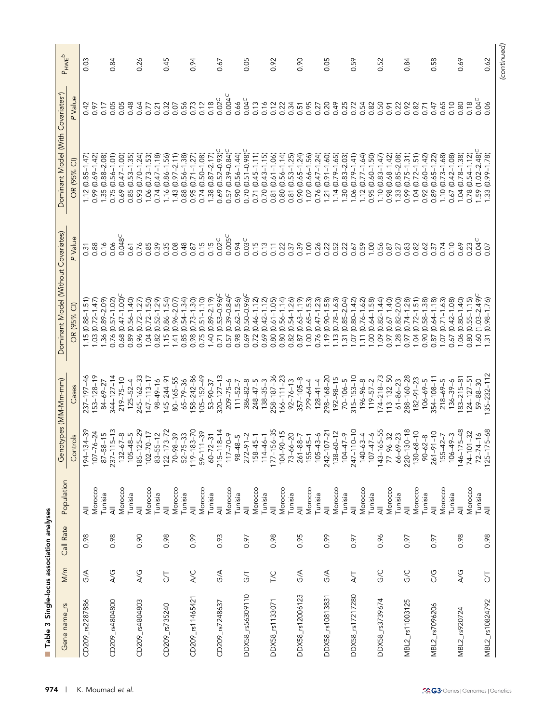| S<br>Table<br>P.     |                            | Single-locus association analyses |                           |                                            |                    |                                      |                    |                                               |                    |                      |
|----------------------|----------------------------|-----------------------------------|---------------------------|--------------------------------------------|--------------------|--------------------------------------|--------------------|-----------------------------------------------|--------------------|----------------------|
| Gene name_rs         | M/m                        | Call Rate                         | Population                | ලි                                         | notypes (MM-Mm-mm) | Dominant Model (Without Covariates)  |                    | Dominant Model (With Covariates <sup>a)</sup> |                    | $P_{HWE}^{\text{A}}$ |
|                      |                            |                                   |                           | Controls                                   | Cases              | OR (95% CI)                          | P Value            | OR (95% CI)                                   | P Value            |                      |
| CD209_rs2287886      | G/A                        | 0.98                              | ₹                         | $-134 - 39$<br>$194 -$                     | 237-197-46         | $1.15(0.88 - 1.51)$                  | 0.31               | $(0.85 - 1.47)$<br>1.12                       | 0.42               | 0.03                 |
|                      |                            |                                   | Morocco                   | $107 - 76 - 24$                            | 153-128-19         | $(0.72 - 1.47)$<br>1.03 <sub>1</sub> | 0.88               | $(0.69 - 1.42)$<br>0.99                       | 0.97               |                      |
|                      |                            |                                   | Tunisia                   | $87 - 58 - 15$                             | 84-69-27           | $(0.89 - 2.09)$<br>1.36              | 0.16               | $(0.88 - 2.08)$<br>1.35                       | 0.17               |                      |
| CD209_rs4804800      | A/G                        | 0.98                              | ₹                         | $237 - 115 - 13$                           | $344 - 127 - 14$   | $(0.57 - 1.02)$<br>0.76              | 0.06               | $(0.56 - 1.01)$<br>0.75                       | 0.05               | 0.84                 |
|                      |                            |                                   | Morocco                   | $-67-8$<br>132                             | $219 - 75 - 10$    | $(0.47 - 1.00)$<br>0.68              | 0.048 <sup>C</sup> | $(0.47 - 1.00)$<br>0.69                       | 0.05               |                      |
|                      |                            |                                   | Tunisia                   | $-48-5$<br>105                             | $125 - 52 - 4$     | $(0.56 - 1.40)$<br>0.89              | 0.61               | $(0.53 - 1.35)$<br>0.85                       | 0.48               |                      |
| CD209_rs4804803      | $\overline{\mathcal{A}}$ G | 0.90                              | $\overline{4}$            | 185-125-29                                 | 245-162-33         | $(0.72 - 1.27)$<br>0.96              | 0.76               | $(0.70 - 1.24)$<br>0.93                       | 0.64               | 0.26                 |
|                      |                            |                                   | Morocco                   | $102 - 70 - 17$                            | $147 - 113 - 17$   | $(0.72 - 1.50)$<br>1.04              | 0.85               | $(0.73 - 1.53)$<br>1.06                       | 0.77               |                      |
|                      |                            |                                   | Tunisia                   | $83 - 55 - 12$                             | $98 - 49 - 16$     | $(0.52 - 1.29)$<br>0.82              | 0.39               | $(0.47 - 1.18)$<br>0.74                       | 0.21               |                      |
| CD209_rs735240       | 5                          | 0.98                              | $\overline{\overline{z}}$ |                                            | $145 - 244 - 91$   | $(0.86 - 1.54)$<br>1.15              | 0.35               | $(0.86 - 1.56)$<br>1.16                       | 0.32               | 0.45                 |
|                      |                            |                                   | Morocco                   | $122 - 173 - 72$<br>70-98-39               | $80 - 165 - 55$    | $(0.96 - 2.07)$<br>1.41              | 0.08               | $(0.97 - 2.11)$<br>1.43                       | 0.07               |                      |
|                      |                            |                                   | Tunisia                   |                                            | $65 - 79 - 36$     | $(0.54 - 1.34)$<br>0.85              | 0.48               | $(0.56 - 1.38)$<br>0.88                       | 0.56               |                      |
| CD209_rs11465421     | <b>A/C</b>                 | 0.99                              | ₹                         |                                            | 158-242-86         | $(0.73 - 1.30)$<br>0.98              | 0.87               | $(0.71 - 1.27)$<br>0.95                       | 0.73               | 0.94                 |
|                      |                            |                                   |                           | 52-75-33<br>119-183-70<br>59-111-39        | $105 - 152 - 49$   | $(0.51 - 1.10)$<br>0.75              | 0.15               | $(0.50 - 1.08)$<br>0.74                       | 0.12               |                      |
|                      |                            |                                   | Morocco                   |                                            | $53 - 90 - 37$     |                                      |                    |                                               |                    |                      |
|                      |                            |                                   | Tunisia                   | $60 - 72 - 31$                             |                    | $(0.89 - 2.19)$<br>1.40              | 0.15               | $(0.87 - 2.17)$<br>1.38 <sub>1</sub>          | 0.18               |                      |
| CD209_rs7248637      | G/A                        | 0.93                              | $\overline{\overline{z}}$ | $215 - 118 - 14$<br>117-70-9               | $320 - 127 - 13$   | $(0.53 - 0.96)^C$<br>0.71            | $0.02^C$           | $(0.52 - 0.93)^C$<br>0.69                     | $0.02^C$           | 0.67                 |
|                      |                            |                                   | Morocco                   |                                            | $209 - 75 - 6$     | $(0.39 - 0.84)$ <sup>C</sup><br>0.57 | 0.005C             | $(0.39 - 0.84)$ <sup>C</sup><br>0.57          | 0.004 <sup>C</sup> |                      |
|                      |                            |                                   | Tunisia                   | $98 - 48 - 5$                              | $111 - 52 - 7$     | $(0.62 - 1.56)$<br>0.98              | 0.94               | $(0.56 - 1.44)$<br>0.90                       | 0.66               |                      |
| DDX58_rs56309110     | <b>GT</b>                  | 0.97                              | $\overline{\overline{A}}$ | $272 - 91 - 2$                             | $386 - 82 - 8$     | $(0.50 - 0.96)^C$<br>0.69            | 0.03 <sup>C</sup>  | $(0.51 - 0.98)^C$<br>0.70                     | $0.04^C$           | 0.05                 |
|                      |                            |                                   | Morocco                   | $-45-1$<br>158                             | $248 - 47 - 5$     | $(0.46 - 1.12)$<br>0.72              | 0.15               | $(0.45 - 1.11)$<br>0.71                       | 0.13               |                      |
|                      |                            |                                   | Tunisia                   | $114 - 46 - 1$                             | $138 - 35 - 3$     | $(0.42 - 1.12)$<br>0.69              | 0.13               | $(0.43 - 1.15)$<br>0.70                       | 0.16               |                      |
| DDX58_rs1133071      | <b>T/C</b>                 | 0.98                              | $\overline{\overline{A}}$ | $177 - 156 - 35$                           | 258-187-36         | $(0.61 - 1.05)$<br>0.80              | 0.11               | $(0.61 - 1.06)$<br>0.81                       | 0.12               | 0.92                 |
|                      |                            |                                   | Morocco                   | $104 - 90 - 15$                            | $166 - 111 - 23$   | $(0.56 - 1.14)$<br>0.80              | 0.22               | $(0.56 - 1.14)$<br>0.80                       | 0.22               |                      |
|                      |                            |                                   | Tunisia                   |                                            | $92 - 76 - 13$     | $(0.54 - 1.26)$<br>0.82              | 0.37               | $(0.53 - 1.25)$<br>0.81                       | 0.34               |                      |
| ω<br>DDX58_rs1200612 | G/A                        | 0.95                              | $\overline{\overline{A}}$ |                                            | $357 - 105 - 8$    | $(0.63 - 1.19)$<br>0.87              | 0.39               | $(0.65 - 1.24)$<br>0.90                       | 0.51               | 0.90                 |
|                      |                            |                                   | Morocco                   | $73-66-20$<br>$261-88-7$<br>$155-45-1$     | $229 - 64 - 4$     | $(0.65 - 1.53)$<br>1.00              | 1.00               | $(0.66 - 1.56)$<br>1.02                       | 0.95               |                      |
|                      |                            |                                   | Tunisia                   | $-43-6$<br>105                             | $128 - 41 - 4$     | $(0.47 - 1.23)$<br>0.76              | 0.26               | $(0.47 - 1.24)$<br>0.76                       | 0.27               |                      |
| DDX58_rs10813831     | $\frac{1}{2}$              | 0.99                              | $\overline{4}$            | $242 - 107 - 21$                           | 298-168-20         | $(0.90 - 1.58)$<br>1.19              | 0.22               | $(0.91 - 1.60)$<br>1.21                       | 0.20               | 0.05                 |
|                      |                            |                                   | Morocco                   | $138 - 60 - 12$                            | $192 - 98 - 15$    | $(0.78 - 1.63)$<br>$\overline{13}$   | 0.52               | $(0.79 - 1.65)$<br>1.14                       | 0.49               |                      |
|                      |                            |                                   |                           |                                            |                    |                                      |                    |                                               |                    |                      |
|                      |                            |                                   | Tunisia                   | $-47-9$<br>104                             | $70 - 106 - 5$     | $(0.85 - 2.04)$<br>$\frac{1}{3}$     | 0.22               | $(0.83 - 2.03)$<br>1.30                       | 0.25               |                      |
| DDX58 rs17217280     | $\overline{A}$             | 0.97                              | $\overline{\overline{A}}$ | $247 - 110 - 10$                           | $315 - 153 - 10$   | $(0.80 - 1.42)$<br>1.07              | 0.67               | $(0.79 - 1.41)$<br>0.06                       | 0.72               | 0.59                 |
|                      |                            |                                   | Morocco                   | $140 - 63 - 4$                             | $196 - 96 - 8$     | $(0.76 - 1.62)$<br>$\overline{E}$    | 0.59               | $(0.77 - 1.64)$<br>1.12                       | 0.54               |                      |
|                      |                            |                                   | Tunisia                   | $-47-6$<br>107                             | $119 - 57 - 2$     | $(0.64 - 1.58)$<br>00.1              | 1.00               | $(0.60 - 1.50)$<br>0.95                       | 0.82               |                      |
| DDX58_rs3739674      | <b>GC</b>                  | 0.96                              | $\overline{a}$            | $143 - 165 - 55$                           | $174 - 218 - 73$   | $(0.82 - 1.44)$<br>1.09              | 0.56               | $(0.83 - 1.47)$<br>1.10                       | 0.50               | 0.52                 |
|                      |                            |                                   | Morocco                   | $77 - 96 - 32$                             | $113 - 132 - 50$   | $(0.67 - 1.40)$<br>0.97              | 0.87               | $(0.68 - 1.42)$<br>0.98                       | 0.91               |                      |
|                      |                            |                                   | Tunisia                   | $66 - 69 - 23$                             | $61 - 86 - 23$     | $(0.82 - 2.00)$<br>1.28              | 0.27               | $(0.85 - 2.08)$<br>1.33                       | 0.22               |                      |
| MBL2_rs11003125      | <b>GC</b>                  | 0.97                              | $\overline{\overline{z}}$ | $220 - 130 - 18$                           | $288 - 160 - 28$   | $(0.74 - 1.28)$<br>0.97              | 0.83               | $(0.75 - 1.31)$<br>0.99                       | 0.92               | 0.84                 |
|                      |                            |                                   | Morocco                   | $130 - 68 - 10$                            | $182 - 91 - 23$    | $(0.72 - 1.51)$<br>1.04              | 0.82               | $(0.72 - 1.51)$<br>1.04                       | 0.82               |                      |
|                      |                            |                                   | Tunisia                   | $90 - 62 - 8$                              | $106 - 69 - 5$     | $(0.58 - 1.38)$<br>0.90              | 0.62               | $(0.60 - 1.42)$<br>0.92                       | 0.71               |                      |
| MBL2_rs7096206       | C/G                        | 0.97                              | $\overline{\overline{z}}$ | $261 - 91 - 10$                            | $354 - 108 - 11$   | $(0.64 - 1.18)$<br>0.87              | 0.37               | $(0.65 - 1.22)$<br>0.89                       | 0.47               | 0.58                 |
|                      |                            |                                   | Morocco                   | $-42-7$<br>155                             | $218 - 69 - 5$     | $(0.71 - 1.63)$<br>1.07              | 0.74               | $(0.73 - 1.68)$<br>1.10                       | 0.65               |                      |
|                      |                            |                                   | Tunisia                   | $106 - 49 - 3$                             | $136 - 39 - 6$     | $(0.42 - 1.08)$<br>0.67              | 0.10               | $(0.42 - 1.08)$<br>0.67                       | 0.10               |                      |
| MBL2_rs920724        | ACG                        | 0.98                              | $\overline{\overline{z}}$ | $146 - 175 - 48$                           | $183 - 215 - 81$   | $(0.80 - 1.40)$<br>1.06              | 0.69               | $(0.78 - 1.38)$<br>1.04                       | 0.80               | 0.69                 |
|                      |                            |                                   | Morocco                   | $101 - 32$<br>$74 - 1$                     | $124 - 127 - 51$   | $(0.55 - 1.15)$<br>0.80              | 0.23               | $(0.54 - 1.12)$<br>0.78                       | 0.18               |                      |
|                      |                            |                                   | Tunisia                   |                                            | $59 - 88 - 30$     | $(1.03 - 2.49)^C$<br>1.60            | $0.04^C$           | $(1.02 - 2.48)^C$<br>$-59$                    | $0.04^C$           |                      |
| MBL2_rs10824792      | 5                          | 0.98                              | $\overline{\overline{z}}$ | $175 - 68$<br>$72 - 74 - 16$<br>125-175-68 | $35 - 232 - 112$   | $(0.98 - 1.76)$<br>1.31              | 0.07               | $(0.99 - 1.78)$<br>1.33                       | 0.06               | 0.62                 |
|                      |                            |                                   |                           |                                            |                    |                                      |                    |                                               |                    | (continued)          |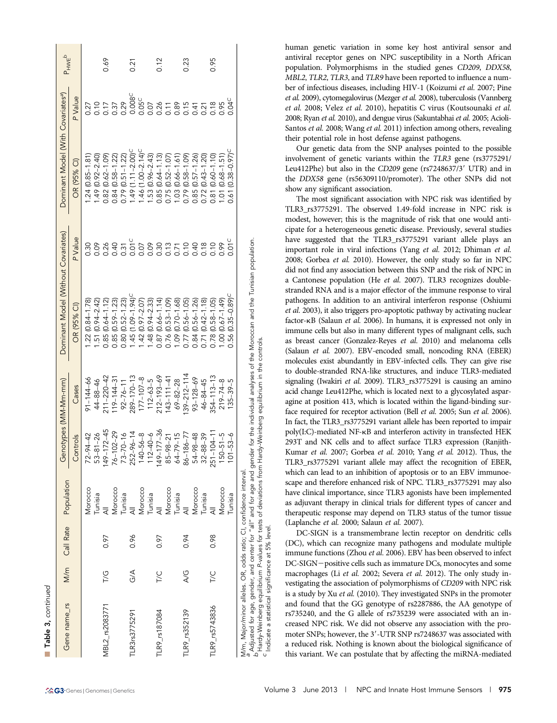| Gene name_rs                                                       | M/m           | Call Rate | Population | Genotypes (MM-Mm-mm) |                                             | Dominant Model (Without Covariates)                                                                                                            |                   | Dominant Model (With Covariates <sup>a</sup> ) |                    | $P_{HWE}^{\text{HWE}}$ |
|--------------------------------------------------------------------|---------------|-----------|------------|----------------------|---------------------------------------------|------------------------------------------------------------------------------------------------------------------------------------------------|-------------------|------------------------------------------------|--------------------|------------------------|
|                                                                    |               |           |            | Controls             | Cases                                       | OR (95% CI)                                                                                                                                    | P Value           | OR (95% CI)                                    | P Value            |                        |
|                                                                    |               |           | Vlorocco   | $72 - 94 - 42$       | $91 - 144 - 66$                             | $22(0.84 - 1.78)$                                                                                                                              | 0.30              | $.24(0.85 - 1.81)$                             | 0.27               |                        |
|                                                                    |               |           | Tunisia    | $53 - 81 - 26$       | $44 - 88 - 46$                              | $.51(0.94 - 2.42)$                                                                                                                             | 0.09              | $.49(0.92 - 2.40)$                             |                    |                        |
| MBL2 rs2083771                                                     | $\frac{1}{6}$ | 0.97      |            | 49-172-45            | $211 - 220 - 42$                            | $0.85(0.64 - 1.12)$                                                                                                                            | 0.26              | $0.82(0.62 - 1.09)$                            | 10<br>117<br>1.37  | 0.69                   |
|                                                                    |               |           | Morocco    | $76 - 102 - 29$      | $19 - 144 - 31$                             | $.85(0.59 - 1.23)$                                                                                                                             | 0.40              | $0.84(0.58 - 1.22)$                            |                    |                        |
|                                                                    |               |           | Tunisia    | $73 - 70 - 16$       | $92 - 76 - 11$                              | $.80(0.52 - 1.23)$                                                                                                                             | 0.31              | $0.79$ $(0.51 - 1.22)$                         | 0.29               |                        |
| LR3rs3775291                                                       | $\frac{4}{9}$ | 0.96      |            | $252 - 96 - 14$      | $289 - 170 - 13$                            | $-45(1.09 - 1.94)$                                                                                                                             | 0.01C             | $49(1.11 - 2.00)$                              | 0.008 <sup>C</sup> | 0.21                   |
|                                                                    |               |           | Morocco    | $140 - 56 - 8$       | $177 - 107 - 8$                             | $.42(0.97 - 2.07)$                                                                                                                             | 0.07              | $-46$ (1.00-2.14) <sup>C</sup>                 | 0.05 <sup>C</sup>  |                        |
|                                                                    |               |           | Tunisia    | $112 - 40 - 6$       | $112 - 63 - 5$                              | $.48(0.94 - 2.33)$                                                                                                                             | 0.09              | $.53(0.96 - 2.43)$                             | 0.07               |                        |
| TLR9_rs187084                                                      | T/C           | 0.97      |            | 49-177-36            | $212 - 193 - 69$                            | $0.87(0.66 - 1.14)$                                                                                                                            | 0.30              | $0.85(0.64 - 1.13)$                            | 0.26               | 0.12                   |
|                                                                    |               |           | Morocco    | $85 - 98 - 21$       | $43 - 111 - 41$                             | $0.76(0.53 - 1.09)$                                                                                                                            | 0.13              | 0.75 (0.52-1.07)                               |                    |                        |
|                                                                    |               |           | Tunisia    | $64 - 79 - 15$       | $69 - 82 - 28$                              | $.09(0.70 - 1.68)$                                                                                                                             | 0.71              | $.03(0.66 - 1.61)$                             | 7.89               |                        |
| <b>TLR9</b> rs352139                                               | AG            | 0.94      |            | $86 - 186 - 77$      | $39 - 212 - 114$                            | $0.77$ ( $0.56 - 1.05$ )                                                                                                                       | 0.10              | $0.79(0.58 - 1.09)$                            | 3.15               | 0.23                   |
|                                                                    |               |           | Morocco    | $54 - 98 - 48$       | $93 - 128 - 69$                             | $0.84$ ( $0.56 - 1.26$ )                                                                                                                       | 0.40              | $0.85(0.57 - 1.26)$                            |                    |                        |
|                                                                    |               |           | Tunisia    | $32 - 88 - 39$       | $46 - 84 - 45$                              | $0.71(0.42 - 1.18)$                                                                                                                            | 0.18              | $0.72(0.43 - 1.20)$                            | 0.21               |                        |
| TLR9_rs5743836                                                     |               | 0.98      |            | $51 - 104 - 11$<br>Ñ | $354 - 113 - 13$                            | $0.78$ $(0.58 - 1.05)$                                                                                                                         | 0.10              | $(0.60 - 1.10)$<br>.81                         | 18                 | 0.95                   |
|                                                                    |               |           | Morocco    | $150 - 51 - 5$       | $219 - 74 - 8$                              | $(64.1 - 73.0)$ 00.                                                                                                                            | 0.99              | $(0.68 - 1.51)$<br>$\overline{O}$              | 0.95               |                        |
|                                                                    |               |           | Tunisia    | $101 - 53 - 6$       | $135 - 39 - 5$                              | $0.56(0.35 - 0.89)^C$                                                                                                                          | 0.01 <sup>C</sup> | $(0.38 - 0.97)^C$<br>0.61                      | 0.04 <sup>C</sup>  |                        |
| M/m, Major/minor alleles. OR, odds ratio; CI, confidence interval. |               |           |            |                      |                                             | Adjusted for age, gender, and center for "all" and for age and gender for the individual analyses of the Moroccan and the Tunisian population. |                   |                                                |                    |                        |
| Hardy-Weinberg equilibrium P-values for tests of deviations from   |               |           |            |                      | Hardy-Weinberg equilibrium in the controls. |                                                                                                                                                |                   |                                                |                    |                        |

" Adjusted for age, gender, and center for "all" and for age and gender for the individual analyses of the Moroccan and the Tunisian population.<br><sup>B</sup> Hardy-Weinberg equilibrium P-values for tests of deviations from Hardy-We

level.

Indicate a statistical significance at 5%

 $\mathbf{I}$ 

human genetic variation in some key host antiviral sensor and antiviral receptor genes on NPC susceptibility in a North African population. Polymorphisms in the studied genes CD209, DDX58, MBL2, TLR2, TLR3, and TLR9 have been reported to influence a number of infectious diseases, including HIV-1 (Koizumi et al. 2007; Pine et al. 2009), cytomegalovirus (Mezger et al. 2008), tuberculosis (Vannberg et al. 2008; Velez et al. 2010), hepatitis C virus (Koutsounaki et al. 2008; Ryan et al. 2010), and dengue virus (Sakuntabhai et al. 2005; Acioli-Santos et al. 2008; Wang et al. 2011) infection among others, revealing their potential role in host defense against pathogens.

Our genetic data from the SNP analyses pointed to the possible involvement of genetic variants within the TLR3 gene (rs3775291/ Leu412Phe) but also in the CD209 gene ( $rs7248637/3'$  UTR) and in the DDX58 gene (rs56309110/promoter). The other SNPs did not show any significant association.

The most significant association with NPC risk was identified by TLR3\_rs3775291. The observed 1.49-fold increase in NPC risk is modest, however; this is the magnitude of risk that one would anticipate for a heterogeneous genetic disease. Previously, several studies have suggested that the TLR3\_rs3775291 variant allele plays an important role in viral infections (Yang et al. 2012; Dhiman et al. 2008; Gorbea et al. 2010). However, the only study so far in NPC did not find any association between this SNP and the risk of NPC in a Cantonese population (He et al. 2007). TLR3 recognizes doublestranded RNA and is a major effector of the immune response to viral pathogens. In addition to an antiviral interferon response (Oshiumi et al. 2003), it also triggers pro-apoptotic pathway by activating nuclear factor-kB (Salaun et al. 2006). In humans, it is expressed not only in immune cells but also in many different types of malignant cells, such as breast cancer (Gonzalez-Reyes et al. 2010) and melanoma cells (Salaun et al. 2007). EBV-encoded small, noncoding RNA (EBER) molecules exist abundantly in EBV-infected cells. They can give rise to double-stranded RNA-like structures, and induce TLR3-mediated signaling (Iwakiri et al. 2009). TLR3\_rs3775291 is causing an amino acid change Leu412Phe, which is located next to a glycosylated asparagine at position 413, which is located within the ligand-binding surface required for receptor activation (Bell et al. 2005; Sun et al. 2006). In fact, the TLR3\_rs3775291 variant allele has been reported to impair poly(I:C)-mediated NF-kB and interferon activity in transfected HEK 293T and NK cells and to affect surface TLR3 expression (Ranjith-Kumar et al. 2007; Gorbea et al. 2010; Yang et al. 2012). Thus, the TLR3\_rs3775291 variant allele may affect the recognition of EBER, which can lead to an inhibition of apoptosis or to an EBV immunoescape and therefore enhanced risk of NPC. TLR3\_rs3775291 may also have clinical importance, since TLR3 agonists have been implemented as adjuvant therapy in clinical trials for different types of cancer and therapeutic response may depend on TLR3 status of the tumor tissue (Laplanche et al. 2000; Salaun et al. 2007).

DC-SIGN is a transmembrane lectin receptor on dendritic cells (DC), which can recognize many pathogens and modulate multiple immune functions (Zhou et al. 2006). EBV has been observed to infect DC-SIGN-positive cells such as immature DCs, monocytes and some macrophages (Li et al. 2002; Severa et al. 2012). The only study investigating the association of polymorphisms of CD209 with NPC risk is a study by Xu et al. (2010). They investigated SNPs in the promoter and found that the GG genotype of rs2287886, the AA genotype of rs735240, and the G allele of rs735239 were associated with an increased NPC risk. We did not observe any association with the promoter SNPs; however, the 3'-UTR SNP rs7248637 was associated with a reduced risk. Nothing is known about the biological significance of this variant. We can postulate that by affecting the miRNA-mediated

n

Table 3, continued

Table 3, continued

 $\mathbf{I}$  and  $\mathbf{I}$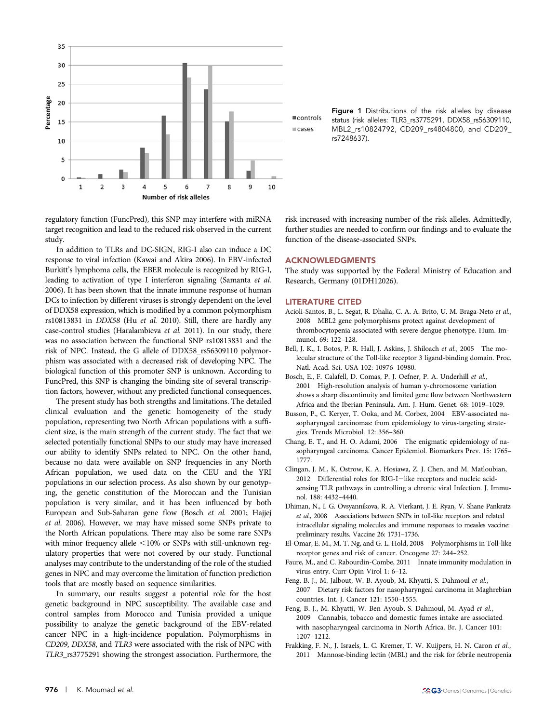

regulatory function (FuncPred), this SNP may interfere with miRNA target recognition and lead to the reduced risk observed in the current study.

In addition to TLRs and DC-SIGN, RIG-I also can induce a DC response to viral infection (Kawai and Akira 2006). In EBV-infected Burkitt's lymphoma cells, the EBER molecule is recognized by RIG-I, leading to activation of type I interferon signaling (Samanta et al. 2006). It has been shown that the innate immune response of human DCs to infection by different viruses is strongly dependent on the level of DDX58 expression, which is modified by a common polymorphism rs10813831 in DDX58 (Hu et al. 2010). Still, there are hardly any case-control studies (Haralambieva et al. 2011). In our study, there was no association between the functional SNP rs10813831 and the risk of NPC. Instead, the G allele of DDX58\_rs56309110 polymorphism was associated with a decreased risk of developing NPC. The biological function of this promoter SNP is unknown. According to FuncPred, this SNP is changing the binding site of several transcription factors, however, without any predicted functional consequences.

The present study has both strengths and limitations. The detailed clinical evaluation and the genetic homogeneity of the study population, representing two North African populations with a sufficient size, is the main strength of the current study. The fact that we selected potentially functional SNPs to our study may have increased our ability to identify SNPs related to NPC. On the other hand, because no data were available on SNP frequencies in any North African population, we used data on the CEU and the YRI populations in our selection process. As also shown by our genotyping, the genetic constitution of the Moroccan and the Tunisian population is very similar, and it has been influenced by both European and Sub-Saharan gene flow (Bosch et al. 2001; Hajjej et al. 2006). However, we may have missed some SNPs private to the North African populations. There may also be some rare SNPs with minor frequency allele  $<$ 10% or SNPs with still-unknown regulatory properties that were not covered by our study. Functional analyses may contribute to the understanding of the role of the studied genes in NPC and may overcome the limitation of function prediction tools that are mostly based on sequence similarities.

In summary, our results suggest a potential role for the host genetic background in NPC susceptibility. The available case and control samples from Morocco and Tunisia provided a unique possibility to analyze the genetic background of the EBV-related cancer NPC in a high-incidence population. Polymorphisms in CD209, DDX58, and TLR3 were associated with the risk of NPC with TLR3\_rs3775291 showing the strongest association. Furthermore, the Figure 1 Distributions of the risk alleles by disease status (risk alleles: TLR3\_rs3775291, DDX58\_rs56309110, MBL2\_rs10824792, CD209\_rs4804800, and CD209\_ rs7248637).

risk increased with increasing number of the risk alleles. Admittedly, further studies are needed to confirm our findings and to evaluate the function of the disease-associated SNPs.

#### ACKNOWLEDGMENTS

The study was supported by the Federal Ministry of Education and Research, Germany (01DH12026).

#### LITERATURE CITED

- Acioli-Santos, B., L. Segat, R. Dhalia, C. A. A. Brito, U. M. Braga-Neto et al., 2008 MBL2 gene polymorphisms protect against development of thrombocytopenia associated with severe dengue phenotype. Hum. Immunol. 69: 122–128.
- Bell, J. K., I. Botos, P. R. Hall, J. Askins, J. Shiloach et al., 2005 The molecular structure of the Toll-like receptor 3 ligand-binding domain. Proc. Natl. Acad. Sci. USA 102: 10976–10980.
- Bosch, E., F. Calafell, D. Comas, P. J. Oefner, P. A. Underhill et al., 2001 High-resolution analysis of human y-chromosome variation shows a sharp discontinuity and limited gene flow between Northwestern Africa and the Iberian Peninsula. Am. J. Hum. Genet. 68: 1019–1029.
- Busson, P., C. Keryer, T. Ooka, and M. Corbex, 2004 EBV-associated nasopharyngeal carcinomas: from epidemiology to virus-targeting strategies. Trends Microbiol. 12: 356–360.
- Chang, E. T., and H. O. Adami, 2006 The enigmatic epidemiology of nasopharyngeal carcinoma. Cancer Epidemiol. Biomarkers Prev. 15: 1765– 1777.
- Clingan, J. M., K. Ostrow, K. A. Hosiawa, Z. J. Chen, and M. Matloubian,  $2012$  Differential roles for RIG-I-like receptors and nucleic acidsensing TLR pathways in controlling a chronic viral Infection. J. Immunol. 188: 4432–4440.
- Dhiman, N., I. G. Ovsyannikova, R. A. Vierkant, J. E. Ryan, V. Shane Pankratz et al., 2008 Associations between SNPs in toll-like receptors and related intracellular signaling molecules and immune responses to measles vaccine: preliminary results. Vaccine 26: 1731–1736.
- El-Omar, E. M., M. T. Ng, and G. L. Hold, 2008 Polymorphisms in Toll-like receptor genes and risk of cancer. Oncogene 27: 244–252.
- Faure, M., and C. Rabourdin-Combe, 2011 Innate immunity modulation in virus entry. Curr Opin Virol 1: 6–12.
- Feng, B. J., M. Jalbout, W. B. Ayoub, M. Khyatti, S. Dahmoul et al., 2007 Dietary risk factors for nasopharyngeal carcinoma in Maghrebian countries. Int. J. Cancer 121: 1550–1555.
- Feng, B. J., M. Khyatti, W. Ben-Ayoub, S. Dahmoul, M. Ayad et al., 2009 Cannabis, tobacco and domestic fumes intake are associated with nasopharyngeal carcinoma in North Africa. Br. J. Cancer 101: 1207–1212.
- Frakking, F. N., J. Israels, L. C. Kremer, T. W. Kuijpers, H. N. Caron et al., 2011 Mannose-binding lectin (MBL) and the risk for febrile neutropenia